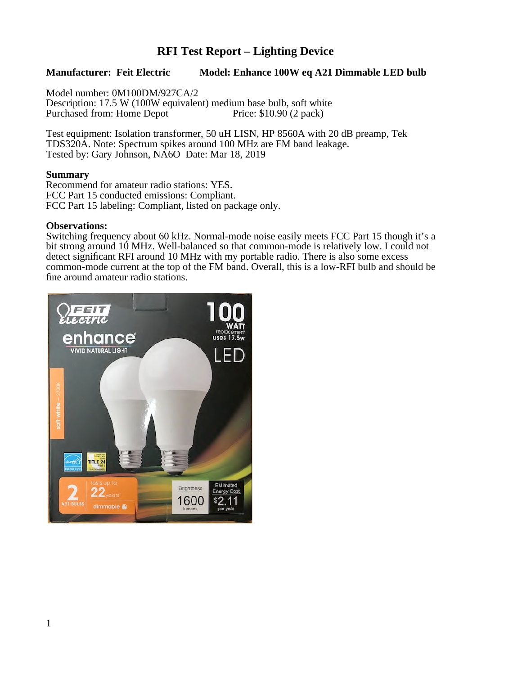# **RFI Test Report – Lighting Device**

### **Manufacturer: Feit Electric Model: Enhance 100W eq A21 Dimmable LED bulb**

Model number: 0M100DM/927CA/2 Description: 17.5 W (100W equivalent) medium base bulb, soft white<br>Purchased from: Home Depot Price: \$10.90 (2 pack) Purchased from: Home Depot

Test equipment: Isolation transformer, 50 uH LISN, HP 8560A with 20 dB preamp, Tek TDS320A. Note: Spectrum spikes around 100 MHz are FM band leakage. Tested by: Gary Johnson, NA6O Date: Mar 18, 2019

#### **Summary**

Recommend for amateur radio stations: YES. FCC Part 15 conducted emissions: Compliant. FCC Part 15 labeling: Compliant, listed on package only.

#### **Observations:**

Switching frequency about 60 kHz. Normal-mode noise easily meets FCC Part 15 though it's a bit strong around 10 MHz. Well-balanced so that common-mode is relatively low. I could not detect significant RFI around 10 MHz with my portable radio. There is also some excess common-mode current at the top of the FM band. Overall, this is a low-RFI bulb and should be fine around amateur radio stations.

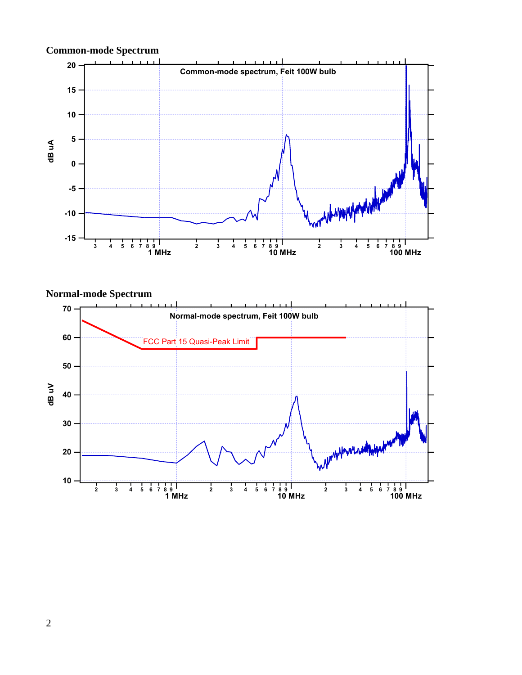

**Normal-mode Spectrum**